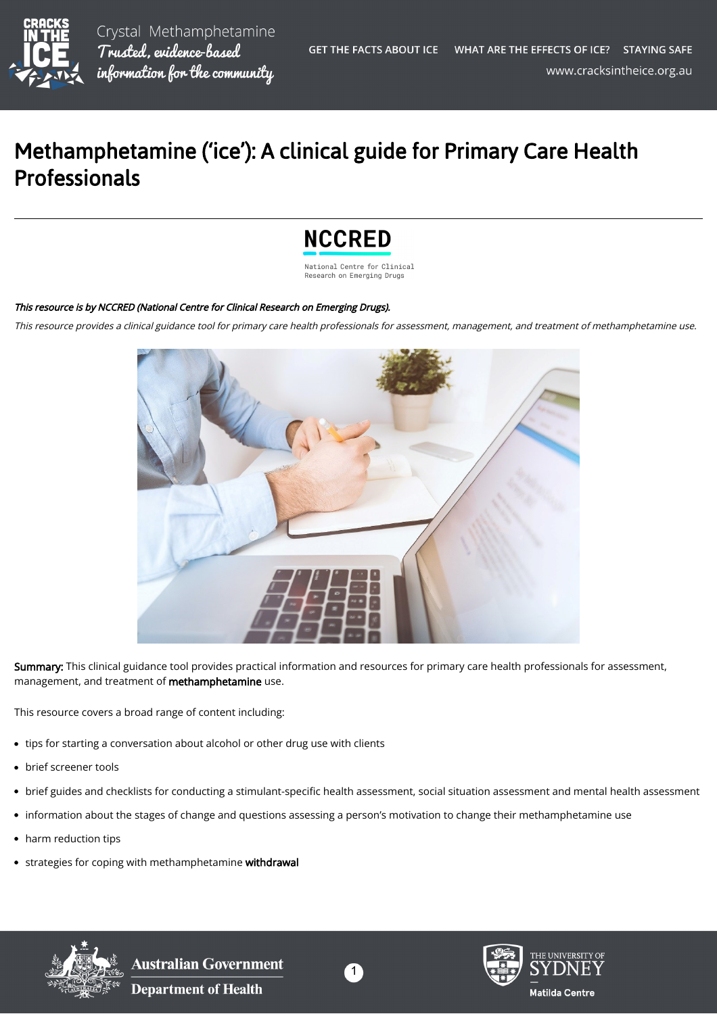

Crystal Methamphetamine Trusted, evidence-based information for the community

## Methamphetamine ('ice'): A clinical guide for Primary Care Health Professionals

## **NCCRED**

National Centre for Clinical Research on Emerging Drugs

## This resource is by NCCRED (National Centre for Clinical Research on Emerging Drugs).

This resource provides a clinical guidance tool for primary care health professionals for assessment, management, and treatment of methamphetamine use.



Summary: This clinical guidance tool provides practical information and resources for primary care health professionals for assessment, management, and treatment of methamphetamine use.

This resource covers a broad range of content including:

- tips for starting a conversation about alcohol or other drug use with clients
- brief screener tools
- brief guides and checklists for conducting a stimulant-specific health assessment, social situation assessment and mental health assessment
- information about the stages of change and questions assessing a person's motivation to change their methamphetamine use
- harm reduction tips
- **strategies for coping with methamphetamine withdrawal**



**Australian Government Department of Health**